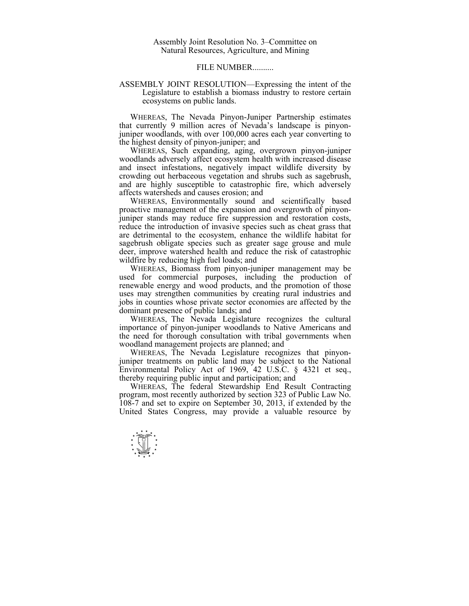## FILE NUMBER..........

## ASSEMBLY JOINT RESOLUTION—Expressing the intent of the Legislature to establish a biomass industry to restore certain ecosystems on public lands.

 WHEREAS, The Nevada Pinyon-Juniper Partnership estimates that currently 9 million acres of Nevada's landscape is pinyonjuniper woodlands, with over 100,000 acres each year converting to the highest density of pinyon-juniper; and

 WHEREAS, Such expanding, aging, overgrown pinyon-juniper woodlands adversely affect ecosystem health with increased disease and insect infestations, negatively impact wildlife diversity by crowding out herbaceous vegetation and shrubs such as sagebrush, and are highly susceptible to catastrophic fire, which adversely affects watersheds and causes erosion; and

 WHEREAS, Environmentally sound and scientifically based proactive management of the expansion and overgrowth of pinyonjuniper stands may reduce fire suppression and restoration costs, reduce the introduction of invasive species such as cheat grass that are detrimental to the ecosystem, enhance the wildlife habitat for sagebrush obligate species such as greater sage grouse and mule deer, improve watershed health and reduce the risk of catastrophic wildfire by reducing high fuel loads; and

 WHEREAS, Biomass from pinyon-juniper management may be used for commercial purposes, including the production of renewable energy and wood products, and the promotion of those uses may strengthen communities by creating rural industries and jobs in counties whose private sector economies are affected by the dominant presence of public lands; and

 WHEREAS, The Nevada Legislature recognizes the cultural importance of pinyon-juniper woodlands to Native Americans and the need for thorough consultation with tribal governments when woodland management projects are planned; and

 WHEREAS, The Nevada Legislature recognizes that pinyonjuniper treatments on public land may be subject to the National Environmental Policy Act of 1969, 42 U.S.C. § 4321 et seq., thereby requiring public input and participation; and

 WHEREAS, The federal Stewardship End Result Contracting program, most recently authorized by section 323 of Public Law No. 108-7 and set to expire on September 30, 2013, if extended by the United States Congress, may provide a valuable resource by